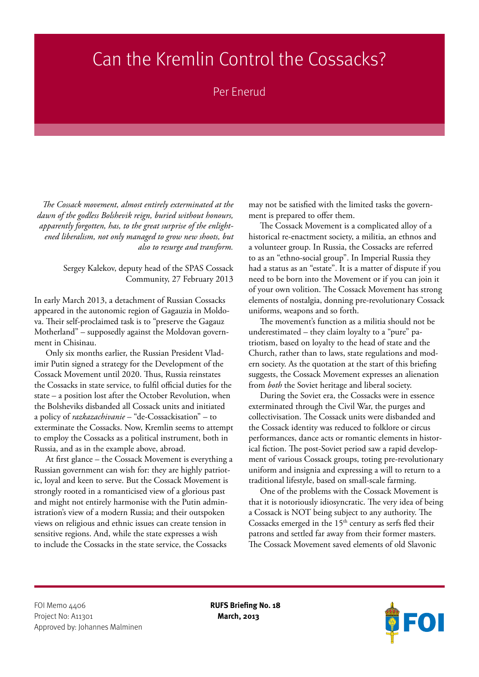## Can the Kremlin Control the Cossacks?

## Per Enerud

*The Cossack movement, almost entirely exterminated at the dawn of the godless Bolshevik reign, buried without honours, apparently forgotten, has, to the great surprise of the enlightened liberalism, not only managed to grow new shoots, but also to resurge and transform.* 

> Sergey Kalekov, deputy head of the SPAS Cossack Community, 27 February 2013

In early March 2013, a detachment of Russian Cossacks appeared in the autonomic region of Gagauzia in Moldova. Their self-proclaimed task is to "preserve the Gagauz Motherland" – supposedly against the Moldovan government in Chisinau.

Only six months earlier, the Russian President Vladimir Putin signed a strategy for the Development of the Cossack Movement until 2020. Thus, Russia reinstates the Cossacks in state service, to fulfil official duties for the state – a position lost after the October Revolution, when the Bolsheviks disbanded all Cossack units and initiated a policy of *razkazachivanie* – "de-Cossackisation" – to exterminate the Cossacks. Now, Kremlin seems to attempt to employ the Cossacks as a political instrument, both in Russia, and as in the example above, abroad.

At first glance – the Cossack Movement is everything a Russian government can wish for: they are highly patriotic, loyal and keen to serve. But the Cossack Movement is strongly rooted in a romanticised view of a glorious past and might not entirely harmonise with the Putin administration's view of a modern Russia; and their outspoken views on religious and ethnic issues can create tension in sensitive regions. And, while the state expresses a wish to include the Cossacks in the state service, the Cossacks

may not be satisfied with the limited tasks the government is prepared to offer them.

The Cossack Movement is a complicated alloy of a historical re-enactment society, a militia, an ethnos and a volunteer group. In Russia, the Cossacks are referred to as an "ethno-social group". In Imperial Russia they had a status as an "estate". It is a matter of dispute if you need to be born into the Movement or if you can join it of your own volition. The Cossack Movement has strong elements of nostalgia, donning pre-revolutionary Cossack uniforms, weapons and so forth.

The movement's function as a militia should not be underestimated – they claim loyalty to a "pure" patriotism, based on loyalty to the head of state and the Church, rather than to laws, state regulations and modern society. As the quotation at the start of this briefing suggests, the Cossack Movement expresses an alienation from *both* the Soviet heritage and liberal society.

During the Soviet era, the Cossacks were in essence exterminated through the Civil War, the purges and collectivisation. The Cossack units were disbanded and the Cossack identity was reduced to folklore or circus performances, dance acts or romantic elements in historical fiction. The post-Soviet period saw a rapid development of various Cossack groups, toting pre-revolutionary uniform and insignia and expressing a will to return to a traditional lifestyle, based on small-scale farming.

One of the problems with the Cossack Movement is that it is notoriously idiosyncratic. The very idea of being a Cossack is NOT being subject to any authority. The Cossacks emerged in the  $15<sup>th</sup>$  century as serfs fled their patrons and settled far away from their former masters. The Cossack Movement saved elements of old Slavonic

FOI Memo 4406 **RUFS Briefing No. 18** Project No: A11301 **March, 2013** Approved by: Johannes Malminen